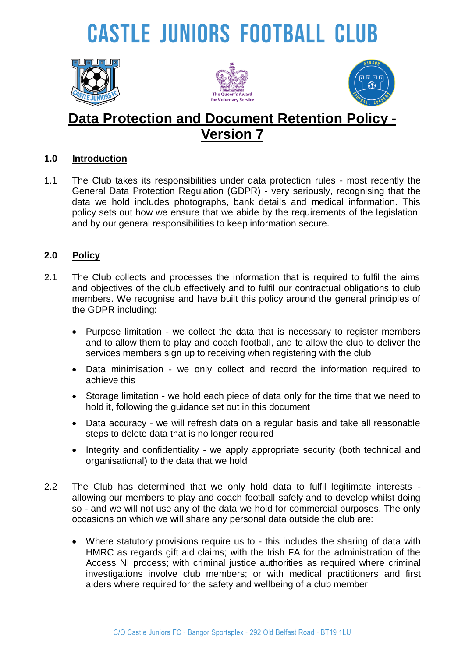# **CASTLE JUNIORS FOOTBALL CLUB**







### **Data Protection and Document Retention Policy - Version 7**

#### **1.0 Introduction**

1.1 The Club takes its responsibilities under data protection rules - most recently the General Data Protection Regulation (GDPR) - very seriously, recognising that the data we hold includes photographs, bank details and medical information. This policy sets out how we ensure that we abide by the requirements of the legislation, and by our general responsibilities to keep information secure.

#### **2.0 Policy**

- 2.1 The Club collects and processes the information that is required to fulfil the aims and objectives of the club effectively and to fulfil our contractual obligations to club members. We recognise and have built this policy around the general principles of the GDPR including:
	- Purpose limitation we collect the data that is necessary to register members and to allow them to play and coach football, and to allow the club to deliver the services members sign up to receiving when registering with the club
	- Data minimisation we only collect and record the information required to achieve this
	- Storage limitation we hold each piece of data only for the time that we need to hold it, following the guidance set out in this document
	- Data accuracy we will refresh data on a regular basis and take all reasonable steps to delete data that is no longer required
	- Integrity and confidentiality we apply appropriate security (both technical and organisational) to the data that we hold
- 2.2 The Club has determined that we only hold data to fulfil legitimate interests allowing our members to play and coach football safely and to develop whilst doing so - and we will not use any of the data we hold for commercial purposes. The only occasions on which we will share any personal data outside the club are:
	- Where statutory provisions require us to this includes the sharing of data with HMRC as regards gift aid claims; with the Irish FA for the administration of the Access NI process; with criminal justice authorities as required where criminal investigations involve club members; or with medical practitioners and first aiders where required for the safety and wellbeing of a club member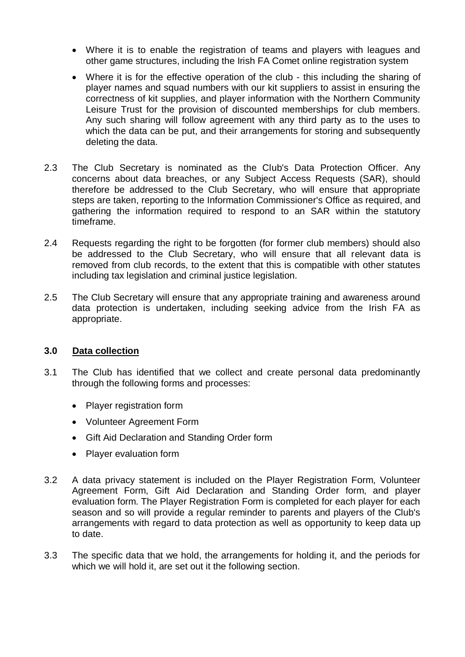- Where it is to enable the registration of teams and players with leagues and other game structures, including the Irish FA Comet online registration system
- Where it is for the effective operation of the club this including the sharing of player names and squad numbers with our kit suppliers to assist in ensuring the correctness of kit supplies, and player information with the Northern Community Leisure Trust for the provision of discounted memberships for club members. Any such sharing will follow agreement with any third party as to the uses to which the data can be put, and their arrangements for storing and subsequently deleting the data.
- 2.3 The Club Secretary is nominated as the Club's Data Protection Officer. Any concerns about data breaches, or any Subject Access Requests (SAR), should therefore be addressed to the Club Secretary, who will ensure that appropriate steps are taken, reporting to the Information Commissioner's Office as required, and gathering the information required to respond to an SAR within the statutory timeframe.
- 2.4 Requests regarding the right to be forgotten (for former club members) should also be addressed to the Club Secretary, who will ensure that all relevant data is removed from club records, to the extent that this is compatible with other statutes including tax legislation and criminal justice legislation.
- 2.5 The Club Secretary will ensure that any appropriate training and awareness around data protection is undertaken, including seeking advice from the Irish FA as appropriate.

#### **3.0 Data collection**

- 3.1 The Club has identified that we collect and create personal data predominantly through the following forms and processes:
	- Player registration form
	- Volunteer Agreement Form
	- Gift Aid Declaration and Standing Order form
	- Player evaluation form
- 3.2 A data privacy statement is included on the Player Registration Form, Volunteer Agreement Form, Gift Aid Declaration and Standing Order form, and player evaluation form. The Player Registration Form is completed for each player for each season and so will provide a regular reminder to parents and players of the Club's arrangements with regard to data protection as well as opportunity to keep data up to date.
- 3.3 The specific data that we hold, the arrangements for holding it, and the periods for which we will hold it, are set out it the following section.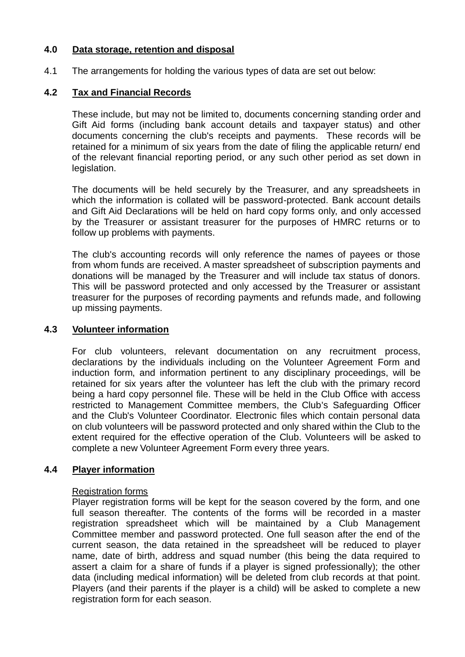#### **4.0 Data storage, retention and disposal**

4.1 The arrangements for holding the various types of data are set out below:

#### **4.2 Tax and Financial Records**

These include, but may not be limited to, documents concerning standing order and Gift Aid forms (including bank account details and taxpayer status) and other documents concerning the club's receipts and payments. These records will be retained for a minimum of six years from the date of filing the applicable return/ end of the relevant financial reporting period, or any such other period as set down in legislation.

The documents will be held securely by the Treasurer, and any spreadsheets in which the information is collated will be password-protected. Bank account details and Gift Aid Declarations will be held on hard copy forms only, and only accessed by the Treasurer or assistant treasurer for the purposes of HMRC returns or to follow up problems with payments.

The club's accounting records will only reference the names of payees or those from whom funds are received. A master spreadsheet of subscription payments and donations will be managed by the Treasurer and will include tax status of donors. This will be password protected and only accessed by the Treasurer or assistant treasurer for the purposes of recording payments and refunds made, and following up missing payments.

#### **4.3 Volunteer information**

For club volunteers, relevant documentation on any recruitment process, declarations by the individuals including on the Volunteer Agreement Form and induction form, and information pertinent to any disciplinary proceedings, will be retained for six years after the volunteer has left the club with the primary record being a hard copy personnel file. These will be held in the Club Office with access restricted to Management Committee members, the Club's Safeguarding Officer and the Club's Volunteer Coordinator. Electronic files which contain personal data on club volunteers will be password protected and only shared within the Club to the extent required for the effective operation of the Club. Volunteers will be asked to complete a new Volunteer Agreement Form every three years.

#### **4.4 Player information**

#### Registration forms

Player registration forms will be kept for the season covered by the form, and one full season thereafter. The contents of the forms will be recorded in a master registration spreadsheet which will be maintained by a Club Management Committee member and password protected. One full season after the end of the current season, the data retained in the spreadsheet will be reduced to player name, date of birth, address and squad number (this being the data required to assert a claim for a share of funds if a player is signed professionally); the other data (including medical information) will be deleted from club records at that point. Players (and their parents if the player is a child) will be asked to complete a new registration form for each season.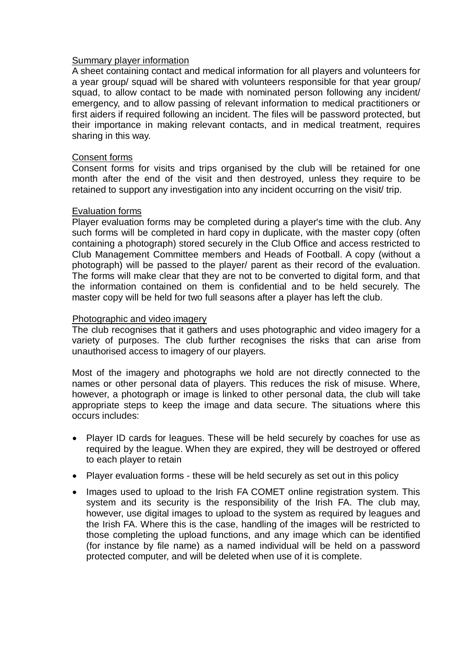#### Summary player information

A sheet containing contact and medical information for all players and volunteers for a year group/ squad will be shared with volunteers responsible for that year group/ squad, to allow contact to be made with nominated person following any incident/ emergency, and to allow passing of relevant information to medical practitioners or first aiders if required following an incident. The files will be password protected, but their importance in making relevant contacts, and in medical treatment, requires sharing in this way.

#### Consent forms

Consent forms for visits and trips organised by the club will be retained for one month after the end of the visit and then destroyed, unless they require to be retained to support any investigation into any incident occurring on the visit/ trip.

#### Evaluation forms

Player evaluation forms may be completed during a player's time with the club. Any such forms will be completed in hard copy in duplicate, with the master copy (often containing a photograph) stored securely in the Club Office and access restricted to Club Management Committee members and Heads of Football. A copy (without a photograph) will be passed to the player/ parent as their record of the evaluation. The forms will make clear that they are not to be converted to digital form, and that the information contained on them is confidential and to be held securely. The master copy will be held for two full seasons after a player has left the club.

#### Photographic and video imagery

The club recognises that it gathers and uses photographic and video imagery for a variety of purposes. The club further recognises the risks that can arise from unauthorised access to imagery of our players.

Most of the imagery and photographs we hold are not directly connected to the names or other personal data of players. This reduces the risk of misuse. Where, however, a photograph or image is linked to other personal data, the club will take appropriate steps to keep the image and data secure. The situations where this occurs includes:

- Player ID cards for leagues. These will be held securely by coaches for use as required by the league. When they are expired, they will be destroyed or offered to each player to retain
- Player evaluation forms these will be held securely as set out in this policy
- Images used to upload to the Irish FA COMET online registration system. This system and its security is the responsibility of the Irish FA. The club may, however, use digital images to upload to the system as required by leagues and the Irish FA. Where this is the case, handling of the images will be restricted to those completing the upload functions, and any image which can be identified (for instance by file name) as a named individual will be held on a password protected computer, and will be deleted when use of it is complete.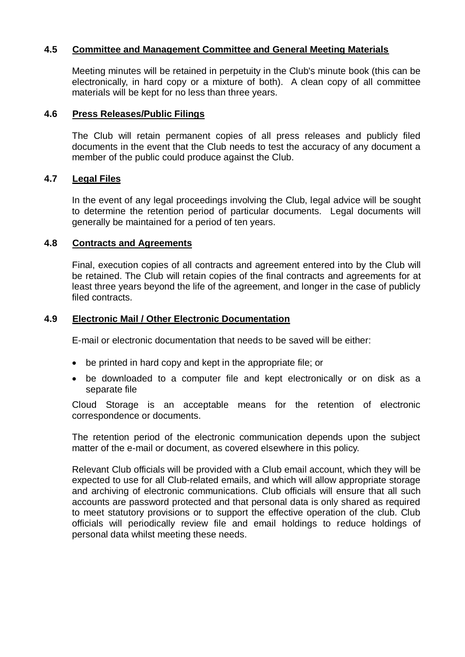#### **4.5 Committee and Management Committee and General Meeting Materials**

Meeting minutes will be retained in perpetuity in the Club's minute book (this can be electronically, in hard copy or a mixture of both). A clean copy of all committee materials will be kept for no less than three years.

#### **4.6 Press Releases/Public Filings**

The Club will retain permanent copies of all press releases and publicly filed documents in the event that the Club needs to test the accuracy of any document a member of the public could produce against the Club.

#### **4.7 Legal Files**

In the event of any legal proceedings involving the Club, legal advice will be sought to determine the retention period of particular documents. Legal documents will generally be maintained for a period of ten years.

#### **4.8 Contracts and Agreements**

Final, execution copies of all contracts and agreement entered into by the Club will be retained. The Club will retain copies of the final contracts and agreements for at least three years beyond the life of the agreement, and longer in the case of publicly filed contracts.

#### **4.9 Electronic Mail / Other Electronic Documentation**

E-mail or electronic documentation that needs to be saved will be either:

- be printed in hard copy and kept in the appropriate file; or
- be downloaded to a computer file and kept electronically or on disk as a separate file

Cloud Storage is an acceptable means for the retention of electronic correspondence or documents.

The retention period of the electronic communication depends upon the subject matter of the e-mail or document, as covered elsewhere in this policy.

Relevant Club officials will be provided with a Club email account, which they will be expected to use for all Club-related emails, and which will allow appropriate storage and archiving of electronic communications. Club officials will ensure that all such accounts are password protected and that personal data is only shared as required to meet statutory provisions or to support the effective operation of the club. Club officials will periodically review file and email holdings to reduce holdings of personal data whilst meeting these needs.